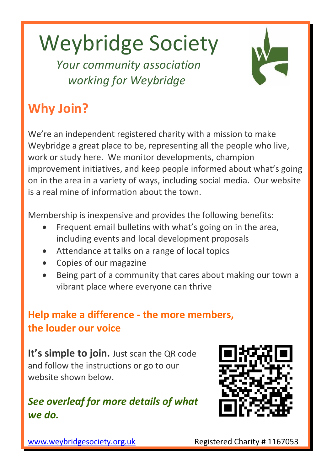# Weybridge Society

 *Your community association working for Weybridge*



## **Why Join?**

We're an independent registered charity with a mission to make Weybridge a great place to be, representing all the people who live, work or study here. We monitor developments, champion improvement initiatives, and keep people informed about what's going on in the area in a variety of ways, including social media. Our website is a real mine of information about the town.

Membership is inexpensive and provides the following benefits:

- Frequent email bulletins with what's going on in the area, including events and local development proposals
- Attendance at talks on a range of local topics
- Copies of our magazine
- Being part of a community that cares about making our town a vibrant place where everyone can thrive

#### **Help make a difference - the more members, the louder our voice**

**It's simple to join.** Just scan the QR code and follow the instructions or go to our website shown below.

#### *See overleaf for more details of what we do.*



[www.weybridgesociety.org.uk](http://www.weybridgesociety.org.uk/) Registered Charity # 1167053